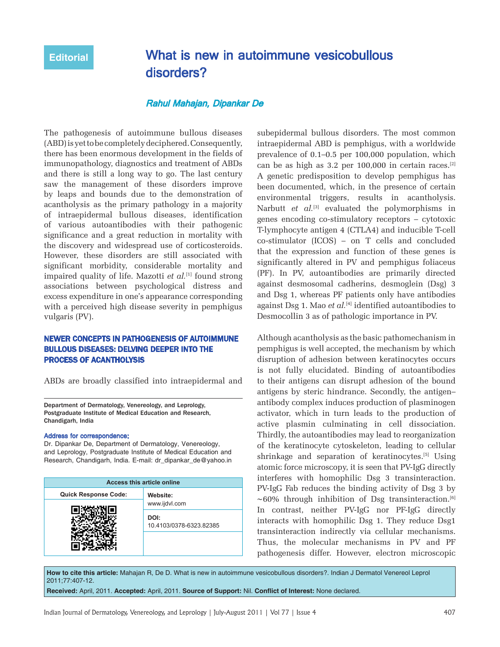# **Editorial** What is new in autoimmune vesicobullous disorders?

## Rahul Mahajan, Dipankar De

The pathogenesis of autoimmune bullous diseases (ABD) is yet to be completely deciphered. Consequently, there has been enormous development in the fields of immunopathology, diagnostics and treatment of ABDs and there is still a long way to go. The last century saw the management of these disorders improve by leaps and bounds due to the demonstration of acantholysis as the primary pathology in a majority of intraepidermal bullous diseases, identification of various autoantibodies with their pathogenic significance and a great reduction in mortality with the discovery and widespread use of corticosteroids. However, these disorders are still associated with significant morbidity, considerable mortality and impaired quality of life. Mazotti *et al.*<sup>[1]</sup> found strong associations between psychological distress and excess expenditure in one's appearance corresponding with a perceived high disease severity in pemphigus vulgaris (PV).

#### NEWER CONCEPTS IN PATHOGENESIS OF AUTOIMMUNE BULLOUS DISEASES: DELVING DEEPER INTO THE PROCESS OF ACANTHOLYSIS

ABDs are broadly classified into intraepidermal and

Department of Dermatology, Venereology, and Leprology, Postgraduate Institute of Medical Education and Research, Chandigarh, India

#### Address for correspondence:

Dr. Dipankar De, Department of Dermatology, Venereology, and Leprology, Postgraduate Institute of Medical Education and Research, Chandigarh, India. E-mail: dr\_dipankar\_de@yahoo.in

| <b>Access this article online</b> |                                 |
|-----------------------------------|---------------------------------|
| <b>Quick Response Code:</b>       | Website:                        |
|                                   | www.ijdvl.com                   |
|                                   | DOI:<br>10.4103/0378-6323.82385 |
|                                   |                                 |

subepidermal bullous disorders. The most common intraepidermal ABD is pemphigus, with a worldwide prevalence of 0.1–0.5 per 100,000 population, which can be as high as 3.2 per 100,000 in certain races.[2] A genetic predisposition to develop pemphigus has been documented, which, in the presence of certain environmental triggers, results in acantholysis. Narbutt *et al.*<sup>[3]</sup> evaluated the polymorphisms in genes encoding co-stimulatory receptors – cytotoxic T-lymphocyte antigen 4 (CTLA4) and inducible T-cell co-stimulator (ICOS) – on T cells and concluded that the expression and function of these genes is significantly altered in PV and pemphigus foliaceus (PF). In PV, autoantibodies are primarily directed against desmosomal cadherins, desmoglein (Dsg) 3 and Dsg 1, whereas PF patients only have antibodies against Dsg 1. Mao *et al.*[4] identified autoantibodies to Desmocollin 3 as of pathologic importance in PV.

Although acantholysis as the basic pathomechanism in pemphigus is well accepted, the mechanism by which disruption of adhesion between keratinocytes occurs is not fully elucidated. Binding of autoantibodies to their antigens can disrupt adhesion of the bound antigens by steric hindrance. Secondly, the antigen– antibody complex induces production of plasminogen activator, which in turn leads to the production of active plasmin culminating in cell dissociation. Thirdly, the autoantibodies may lead to reorganization of the keratinocyte cytoskeleton, leading to cellular shrinkage and separation of keratinocytes.[5] Using atomic force microscopy, it is seen that PV-IgG directly interferes with homophilic Dsg 3 transinteraction. PV-IgG Fab reduces the binding activity of Dsg 3 by ∼60% through inhibition of Dsg transinteraction.[6] In contrast, neither PV-IgG nor PF-IgG directly interacts with homophilic Dsg 1. They reduce Dsg1 transinteraction indirectly via cellular mechanisms. Thus, the molecular mechanisms in PV and PF pathogenesis differ. However, electron microscopic

**How to cite this article:** Mahajan R, De D. What is new in autoimmune vesicobullous disorders?. Indian J Dermatol Venereol Leprol 2011;77:407-12.

**Received:** April, 2011. **Accepted:** April, 2011. **Source of Support:** Nil. **Conflict of Interest:** None declared.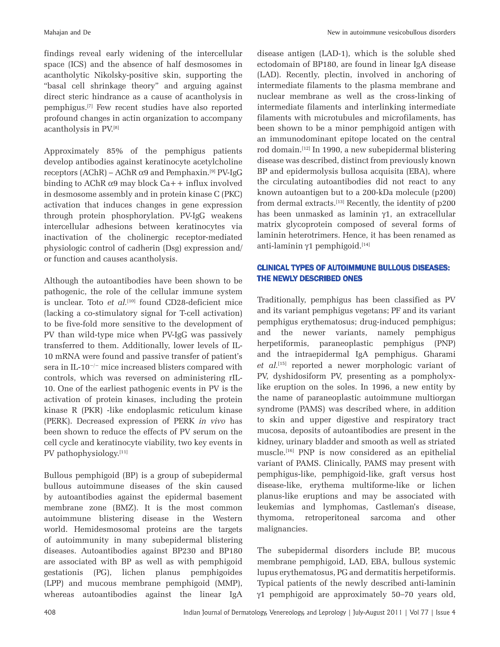findings reveal early widening of the intercellular space (ICS) and the absence of half desmosomes in acantholytic Nikolsky-positive skin, supporting the "basal cell shrinkage theory" and arguing against direct steric hindrance as a cause of acantholysis in pemphigus.[7] Few recent studies have also reported profound changes in actin organization to accompany acantholysis in PV.[8]

Approximately 85% of the pemphigus patients develop antibodies against keratinocyte acetylcholine receptors  $(AChR) - AChR α9$  and Pemphaxin.<sup>[9]</sup> PV-IgG binding to AChR  $\alpha$ 9 may block Ca++ influx involved in desmosome assembly and in protein kinase C (PKC) activation that induces changes in gene expression through protein phosphorylation. PV-IgG weakens intercellular adhesions between keratinocytes via inactivation of the cholinergic receptor-mediated physiologic control of cadherin (Dsg) expression and/ or function and causes acantholysis.

Although the autoantibodies have been shown to be pathogenic, the role of the cellular immune system is unclear. Toto *et al.*<sup>[10]</sup> found CD28-deficient mice (lacking a co-stimulatory signal for T-cell activation) to be five-fold more sensitive to the development of PV than wild-type mice when PV-IgG was passively transferred to them. Additionally, lower levels of IL-10 mRNA were found and passive transfer of patient's sera in IL-10−/− mice increased blisters compared with controls, which was reversed on administering rIL-10. One of the earliest pathogenic events in PV is the activation of protein kinases, including the protein kinase R (PKR) -like endoplasmic reticulum kinase (PERK). Decreased expression of PERK *in vivo* has been shown to reduce the effects of PV serum on the cell cycle and keratinocyte viability, two key events in PV pathophysiology.<sup>[11]</sup>

Bullous pemphigoid (BP) is a group of subepidermal bullous autoimmune diseases of the skin caused by autoantibodies against the epidermal basement membrane zone (BMZ). It is the most common autoimmune blistering disease in the Western world. Hemidesmosomal proteins are the targets of autoimmunity in many subepidermal blistering diseases. Autoantibodies against BP230 and BP180 are associated with BP as well as with pemphigoid gestationis (PG), lichen planus pemphigoides (LPP) and mucous membrane pemphigoid (MMP), whereas autoantibodies against the linear IgA

disease antigen (LAD-1), which is the soluble shed ectodomain of BP180, are found in linear IgA disease (LAD). Recently, plectin, involved in anchoring of intermediate filaments to the plasma membrane and nuclear membrane as well as the cross-linking of intermediate filaments and interlinking intermediate filaments with microtubules and microfilaments, has been shown to be a minor pemphigoid antigen with an immunodominant epitope located on the central rod domain.[12] In 1990, a new subepidermal blistering disease was described, distinct from previously known BP and epidermolysis bullosa acquisita (EBA), where the circulating autoantibodies did not react to any known autoantigen but to a 200-kDa molecule (p200) from dermal extracts.[13] Recently, the identity of p200 has been unmasked as laminin γ1, an extracellular matrix glycoprotein composed of several forms of laminin heterotrimers. Hence, it has been renamed as anti-laminin γ1 pemphigoid.<sup>[14]</sup>

## CLINICAL TYPES OF AUTOIMMUNE BULLOUS DISEASES: THE NEWLY DESCRIBED ONES

Traditionally, pemphigus has been classified as PV and its variant pemphigus vegetans; PF and its variant pemphigus erythematosus; drug-induced pemphigus; and the newer variants, namely pemphigus herpetiformis, paraneoplastic pemphigus (PNP) and the intraepidermal IgA pemphigus. Gharami *et al.*[15] reported a newer morphologic variant of PV, dyshidosiform PV, presenting as a pompholyxlike eruption on the soles. In 1996, a new entity by the name of paraneoplastic autoimmune multiorgan syndrome (PAMS) was described where, in addition to skin and upper digestive and respiratory tract mucosa, deposits of autoantibodies are present in the kidney, urinary bladder and smooth as well as striated muscle.[16] PNP is now considered as an epithelial variant of PAMS. Clinically, PAMS may present with pemphigus-like, pemphigoid-like, graft versus host disease-like, erythema multiforme-like or lichen planus-like eruptions and may be associated with leukemias and lymphomas, Castleman's disease, thymoma, retroperitoneal sarcoma and other malignancies.

The subepidermal disorders include BP, mucous membrane pemphigoid, LAD, EBA, bullous systemic lupus erythematosus, PG and dermatitis herpetiformis. Typical patients of the newly described anti-laminin γ1 pemphigoid are approximately 50–70 years old,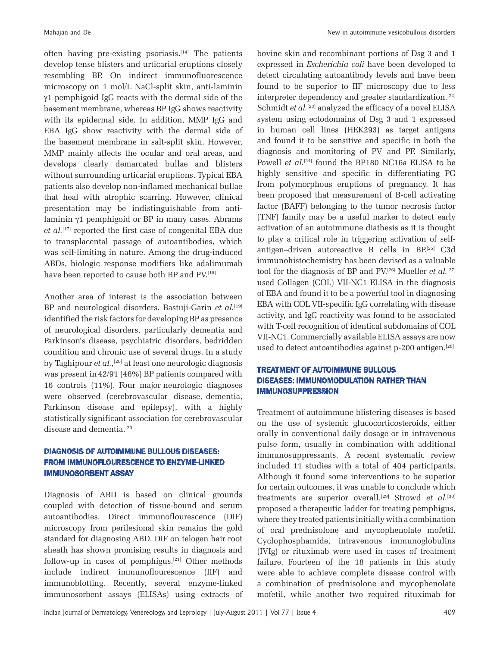often having pre-existing psoriasis.<sup>[14]</sup> The patients develop tense blisters and urticarial eruptions closely resembling BP. On indirect immunofluorescence microscopy on 1 mol/L NaCl-split skin, anti-laminin γ1 pemphigoid IgG reacts with the dermal side of the basement membrane, whereas BP IgG shows reactivity with its epidermal side. In addition, MMP IgG and EBA IgG show reactivity with the dermal side of the basement membrane in salt-split skin. However, MMP mainly affects the ocular and oral areas, and develops clearly demarcated bullae and blisters without surrounding urticarial eruptions. Typical EBA patients also develop non-inflamed mechanical bullae that heal with atrophic scarring. However, clinical presentation may be indistinguishable from antilaminin γ1 pemphigoid or BP in many cases. Abrams *et al.*[17] reported the first case of congenital EBA due to transplacental passage of autoantibodies, which was self-limiting in nature. Among the drug-induced ABDs, biologic response modifiers like adalimumab have been reported to cause both BP and PV.[18]

Another area of interest is the association between BP and neurological disorders. Bastuji-Garin *et al.*[19] identified the risk factors for developing BP as presence of neurological disorders, particularly dementia and Parkinson's disease, psychiatric disorders, bedridden condition and chronic use of several drugs. In a study by Taghipour *et al.,*[20] at least one neurologic diagnosis was present in42/91 (46%) BP patients compared with 16 controls (11%). Four major neurologic diagnoses were observed (cerebrovascular disease, dementia, Parkinson disease and epilepsy), with a highly statistically significant association for cerebrovascular disease and dementia.<sup>[20]</sup>

## DIAGNOSIS OF AUTOIMMUNE BULLOUS DISEASES: FROM IMMUNOFLOURESCENCE TO ENZYME-LINKED IMMUNOSORBENT ASSAY

Diagnosis of ABD is based on clinical grounds coupled with detection of tissue-bound and serum autoantibodies. Direct immunoflourescence (DIF) microscopy from perilesional skin remains the gold standard for diagnosing ABD. DIF on telogen hair root sheath has shown promising results in diagnosis and follow-up in cases of pemphigus.<sup>[21]</sup> Other methods include indirect immunoflourescence (IIF) and immunoblotting. Recently, several enzyme-linked immunosorbent assays (ELISAs) using extracts of bovine skin and recombinant portions of Dsg 3 and 1 expressed in *Escherichia coli* have been developed to detect circulating autoantibody levels and have been found to be superior to IIF microscopy due to less interpreter dependency and greater standardization.<sup>[22]</sup> Schmidt *et al.*<sup>[23]</sup> analyzed the efficacy of a novel ELISA system using ectodomains of Dsg 3 and 1 expressed in human cell lines (HEK293) as target antigens and found it to be sensitive and specific in both the diagnosis and monitoring of PV and PF. Similarly, Powell et al.<sup>[24]</sup> found the BP180 NC16a ELISA to be highly sensitive and specific in differentiating PG from polymorphous eruptions of pregnancy. It has been proposed that measurement of B-cell activating factor (BAFF) belonging to the tumor necrosis factor (TNF) family may be a useful marker to detect early activation of an autoimmune diathesis as it is thought to play a critical role in triggering activation of selfantigen–driven autoreactive B cells in BP.[25] C3d immunohistochemistry has been devised as a valuable tool for the diagnosis of BP and PV.[26] Mueller *et al.*[27] used Collagen (COL) VII-NC1 ELISA in the diagnosis of EBA and found it to be a powerful tool in diagnosing EBA with COL VII-specific IgG correlating with disease activity, and IgG reactivity was found to be associated with T-cell recognition of identical subdomains of COL VII-NC1. Commercially available ELISA assays are now used to detect autoantibodies against p-200 antigen.<sup>[28]</sup>

#### TREATMENT OF AUTOIMMUNE BULLOUS DISEASES: IMMUNOMODULATION RATHER THAN IMMUNOSUPPRESSION

Treatment of autoimmune blistering diseases is based on the use of systemic glucocorticosteroids, either orally in conventional daily dosage or in intravenous pulse form, usually in combination with additional immunosuppressants. A recent systematic review included 11 studies with a total of 404 participants. Although it found some interventions to be superior for certain outcomes, it was unable to conclude which treatments are superior overall.<sup>[29]</sup> Strowd *et al.*<sup>[30]</sup> proposed a therapeutic ladder for treating pemphigus, where they treated patients initially with a combination of oral prednisolone and mycophenolate mofetil. Cyclophosphamide, intravenous immunoglobulins (IVIg) or rituximab were used in cases of treatment failure. Fourteen of the 18 patients in this study were able to achieve complete disease control with a combination of prednisolone and mycophenolate mofetil, while another two required rituximab for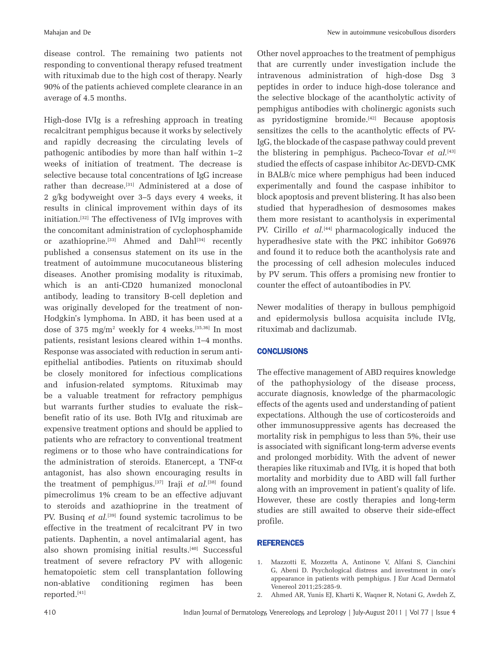disease control. The remaining two patients not responding to conventional therapy refused treatment with rituximab due to the high cost of therapy. Nearly 90% of the patients achieved complete clearance in an average of 4.5 months.

High-dose IVIg is a refreshing approach in treating recalcitrant pemphigus because it works by selectively and rapidly decreasing the circulating levels of pathogenic antibodies by more than half within 1–2 weeks of initiation of treatment. The decrease is selective because total concentrations of IgG increase rather than decrease.<sup>[31]</sup> Administered at a dose of 2 g/kg bodyweight over 3–5 days every 4 weeks, it results in clinical improvement within days of its initiation.[32] The effectiveness of IVIg improves with the concomitant administration of cyclophosphamide or azathioprine.<sup>[33]</sup> Ahmed and Dahl<sup>[34]</sup> recently published a consensus statement on its use in the treatment of autoimmune mucocutaneous blistering diseases. Another promising modality is rituximab, which is an anti-CD20 humanized monoclonal antibody, leading to transitory B-cell depletion and was originally developed for the treatment of non-Hodgkin's lymphoma. In ABD, it has been used at a dose of 375 mg/m2 weekly for 4 weeks.[35,36] In most patients, resistant lesions cleared within 1–4 months. Response was associated with reduction in serum antiepithelial antibodies. Patients on rituximab should be closely monitored for infectious complications and infusion-related symptoms. Rituximab may be a valuable treatment for refractory pemphigus but warrants further studies to evaluate the risk– benefit ratio of its use. Both IVIg and rituximab are expensive treatment options and should be applied to patients who are refractory to conventional treatment regimens or to those who have contraindications for the administration of steroids. Etanercept, a TNF- $\alpha$ antagonist, has also shown encouraging results in the treatment of pemphigus.<sup>[37]</sup> Iraji *et al.*<sup>[38]</sup> found pimecrolimus 1% cream to be an effective adjuvant to steroids and azathioprine in the treatment of PV. Busing *et al.*<sup>[39]</sup> found systemic tacrolimus to be effective in the treatment of recalcitrant PV in two patients. Daphentin, a novel antimalarial agent, has also shown promising initial results.<sup>[40]</sup> Successful treatment of severe refractory PV with allogenic hematopoietic stem cell transplantation following non-ablative conditioning regimen has been reported.[41]

Other novel approaches to the treatment of pemphigus that are currently under investigation include the intravenous administration of high-dose Dsg 3 peptides in order to induce high-dose tolerance and the selective blockage of the acantholytic activity of pemphigus antibodies with cholinergic agonists such as pyridostigmine bromide.<sup>[42]</sup> Because apoptosis sensitizes the cells to the acantholytic effects of PV-IgG, the blockade of the caspase pathway could prevent the blistering in pemphigus. Pacheco-Tovar *et al.*[43] studied the effects of caspase inhibitor Ac-DEVD-CMK in BALB/c mice where pemphigus had been induced experimentally and found the caspase inhibitor to block apoptosis and prevent blistering. It has also been studied that hyperadhesion of desmosomes makes them more resistant to acantholysis in experimental PV. Cirillo *et al.*[44] pharmacologically induced the hyperadhesive state with the PKC inhibitor Go6976 and found it to reduce both the acantholysis rate and the processing of cell adhesion molecules induced by PV serum. This offers a promising new frontier to counter the effect of autoantibodies in PV.

Newer modalities of therapy in bullous pemphigoid and epidermolysis bullosa acquisita include IVIg, rituximab and daclizumab.

#### **CONCLUSIONS**

The effective management of ABD requires knowledge of the pathophysiology of the disease process, accurate diagnosis, knowledge of the pharmacologic effects of the agents used and understanding of patient expectations. Although the use of corticosteroids and other immunosuppressive agents has decreased the mortality risk in pemphigus to less than 5%, their use is associated with significant long-term adverse events and prolonged morbidity. With the advent of newer therapies like rituximab and IVIg, it is hoped that both mortality and morbidity due to ABD will fall further along with an improvement in patient's quality of life. However, these are costly therapies and long-term studies are still awaited to observe their side-effect profile.

#### **REFERENCES**

- 1. Mazzotti E, Mozzetta A, Antinone V, Alfani S, Cianchini G, Abeni D. Psychological distress and investment in one's appearance in patients with pemphigus. J Eur Acad Dermatol Venereol 2011;25:285-9.
- 2. Ahmed AR, Yunis EJ, Kharti K, Waqner R, Notani G, Awdeh Z,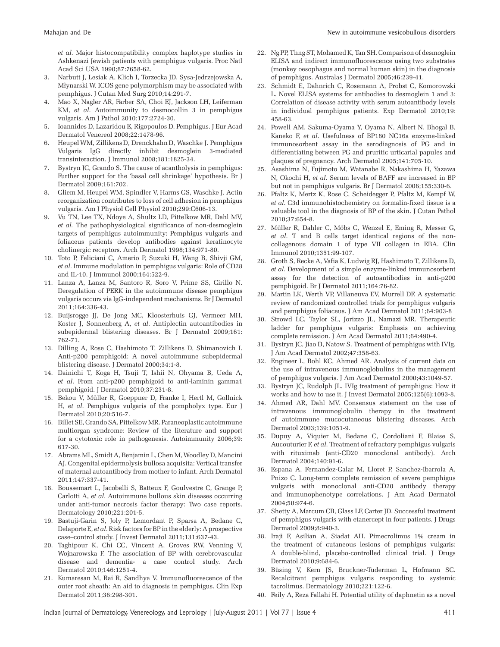*et al*. Major histocompatibility complex haplotype studies in Ashkenazi Jewish patients with pemphigus vulgaris. Proc Natl Acad Sci USA 1990;87:7658-62.

- 3. Narbutt J, Lesiak A, Klich I, Torzecka JD, Sysa-Jedrzejowska A, Młynarski W. ICOS gene polymorphism may be associated with pemphigus. J Cutan Med Surg 2010;14:291-7.
- 4. Mao X, Nagler AR, Farber SA, Choi EJ, Jackson LH, Leiferman KM, *et al*. Autoimmunity to desmocollin 3 in pemphigus vulgaris. Am J Pathol 2010;177:2724-30.
- 5. Ioannides D, Lazaridou E, Rigopoulos D. Pemphigus. J Eur Acad Dermatol Venereol 2008;22:1478-96.
- 6. HeupelWM, Zillikens D, Drenckhahn D, Waschke J. Pemphigus Vulgaris IgG directly inhibit desmoglein 3-mediated transinteraction. J Immunol 2008;181:1825-34.
- Bystryn JC, Grando S. The cause of acantholysis in pemphigus: Further support for the 'basal cell shrinkage' hypothesis. Br J Dermatol 2009;161:702.
- 8. Gliem M, Heupel WM, Spindler V, Harms GS, Waschke J. Actin reorganization contributes to loss of cell adhesion in pemphigus vulgaris. Am J Physiol Cell Physiol 2010;299:C606-13.
- 9. Vu TN, Lee TX, Ndoye A, Shultz LD, Pittelkow MR, Dahl MV, *et al.* The pathophysiological significance of non-desmoglein targets of pemphigus autoimmunity: Pemphigus vulgaris and foliaceus patients develop antibodies against keratinocyte cholinergic receptors. Arch Dermatol 1998;134:971-80.
- 10. Toto P, Feliciani C, Amerio P, Suzuki H, Wang B, Shivji GM, *et al*. Immune modulation in pemphigus vulgaris: Role of CD28 and IL-10. J Immunol 2000;164:522-9.
- 11. Lanza A, Lanza M, Santoro R, Soro V, Prime SS, Cirillo N. Deregulation of PERK in the autoimmune disease pemphigus vulgaris occurs via IgG-independent mechanisms. Br J Dermatol 2011;164:336-43.
- 12. Buijsrogge JJ, De Jong MC, Kloosterhuis GJ, Vermeer MH, Koster J, Sonnenberg A, *et al*. Antiplectin autoantibodies in subepidermal blistering diseases. Br J Dermatol 2009;161: 762-71.
- 13. Dilling A, Rose C, Hashimoto T, Zillikens D, Shimanovich I. Anti-p200 pemphigoid: A novel autoimmune subepidermal blistering disease. J Dermatol 2000;34:1-8.
- 14. Dainichi T, Koga H, Tsuji T, Ishii N, Ohyama B, Ueda A, *et al*. From anti-p200 pemphigoid to anti-laminin gamma1 pemphigoid. J Dermatol 2010;37:231-8.
- 15. Bekou V, Müller R, Goeppner D, Franke I, Hertl M, Gollnick H, *et al*. Pemphigus vulgaris of the pompholyx type. Eur J Dermatol 2010;20:516-7.
- 16. Billet SE, Grando SA, Pittelkow MR. Paraneoplastic autoimmune multiorgan syndrome: Review of the literature and support for a cytotoxic role in pathogenesis. Autoimmunity 2006;39: 617-30.
- 17. Abrams ML, Smidt A, Benjamin L, Chen M, Woodley D, Mancini AJ. Congenital epidermolysis bullosa acquisita: Vertical transfer of maternal autoantibody from mother to infant. Arch Dermatol 2011;147:337-41.
- 18. Boussemart L, Jacobelli S, Batteux F, Goulvestre C, Grange P, Carlotti A, *et al*. Autoimmune bullous skin diseases occurring under anti-tumor necrosis factor therapy: Two case reports. Dermatology 2010;221:201-5.
- 19. Bastuji-Garin S, Joly P, Lemordant P, Sparsa A, Bedane C, Delaporte E, *et al*. Risk factors for BP in the elderly: A prospective case–control study. J Invest Dermatol 2011;131:637-43.
- 20. Taghipour K, Chi CC, Vincent A, Groves RW, Venning V, Wojnarowska F. The association of BP with cerebrovascular disease and dementia- a case control study. Arch Dermatol 2010;146:1251-4.
- 21. Kumaresan M, Rai R, Sandhya V. Immunofluorescence of the outer root sheath: An aid to diagnosis in pemphigus. Clin Exp Dermatol 2011;36:298-301.
- 22. Ng PP, Thng ST, Mohamed K, Tan SH. Comparison of desmoglein ELISA and indirect immunofluorescence using two substrates (monkey oesophagus and normal human skin) in the diagnosis of pemphigus. Australas J Dermatol 2005;46:239-41.
- 23. Schmidt E, Dahnrich C, Rosemann A, Probst C, Komorowski L. Novel ELISA systems for antibodies to desmoglein 1 and 3: Correlation of disease activity with serum autoantibody levels in individual pemphigus patients. Exp Dermatol 2010;19: 458-63.
- 24. Powell AM, Sakuma-Oyama Y, Oyama N, Albert N, Bhogal B, Kaneko F, *et al*. Usefulness of BP180 NC16a enzyme-linked immunosorbent assay in the serodiagnosis of PG and in differentiating between PG and pruritic urticarial papules and plaques of pregnancy. Arch Dermatol 2005;141:705-10.
- 25. Asashima N, Fujimoto M, Watanabe R, Nakashima H, Yazawa N, Okochi H, *et al*. Serum levels of BAFF are increased in BP but not in pemphigus vulgaris. Br J Dermatol 2006;155:330-6.
- 26. Pfaltz K, Mertz K, Rose C, Scheidegger P, Pfaltz M, Kempf W, *et al*. C3d immunohistochemistry on formalin-fixed tissue is a valuable tool in the diagnosis of BP of the skin. J Cutan Pathol 2010;37:654-8.
- 27. Müller R, Dahler C, Möbs C, Wenzel E, Eming R, Messer G, *et al*. T and B cells target identical regions of the noncollagenous domain 1 of type VII collagen in EBA. Clin Immunol 2010;1351:99-107.
- 28. Groth S, Recke A, Vafia K, Ludwig RJ, Hashimoto T, Zillikens D, *et al*. Development of a simple enzyme-linked immunosorbent assay for the detection of autoantibodies in anti-p200 pemphigoid. Br J Dermatol 2011;164:76-82.
- 29. Martin LK, Werth VP, Villaneuva EV, Murrell DF. A systematic review of randomized controlled trials for pemphigus vulgaris and pemphigus foliaceus. J Am Acad Dermatol 2011;64:903-8
- 30. Strowd LC, Taylor SL, Jorizzo JL, Namazi MR. Therapeutic ladder for pemphigus vulgaris: Emphasis on achieving complete remission. J Am Acad Dermatol 2011;64:490-4.
- 31. Bystryn JC, Jiao D, Natow S. Treatment of pemphigus with IVIg. J Am Acad Dermatol 2002;47:358-63.
- 32. Engineer L, Bohl KC, Ahmed AR. Analysis of current data on the use of intravenous immunoglobulins in the management of pemphigus vulgaris. J Am Acad Dermatol 2000;43:1049-57.
- 33. Bystryn JC, Rudolph JL. IVIg treatment of pemphigus: How it works and how to use it. J Invest Dermatol 2005;125(6):1093-8.
- 34. Ahmed AR, Dahl MV. Consensus statement on the use of intravenous immunoglobulin therapy in the treatment of autoimmune mucocutaneous blistering diseases. Arch Dermatol 2003;139:1051-9.
- 35. Dupuy A, Viquier M, Bedane C, Cordoliani F, Blaise S, Aucouturier F, *et al*. Treatment of refractory pemphigus vulgaris with rituximab (anti-CD20 monoclonal antibody). Arch Dermatol 2004;140:91-6.
- 36. Espana A, Fernandez-Galar M, Lloret P, Sanchez-Ibarrola A, Pnizo C. Long-term complete remission of severe pemphigus vulgaris with monoclonal anti-CD20 antibody therapy and immunophenotype correlations. J Am Acad Dermatol 2004;50:974-6.
- 37. Shetty A, Marcum CB, Glass LF, Carter JD. Successful treatment of pemphigus vulgaris with etanercept in four patients. J Drugs Dermatol 2009;8:940-3.
- 38. Iraji F, Asilian A, Siadat AH. Pimecrolimus 1% cream in the treatment of cutaneous lesions of pemphigus vulgaris: A double-blind, placebo-controlled clinical trial. J Drugs Dermatol 2010;9:684-6.
- 39. Büsing V, Kern JS, Bruckner-Tuderman L, Hofmann SC. Recalcitrant pemphigus vulgaris responding to systemic tacrolimus. Dermatology 2010;221:122-6.
- 40. Feily A, Reza Fallahi H. Potential utility of daphnetin as a novel